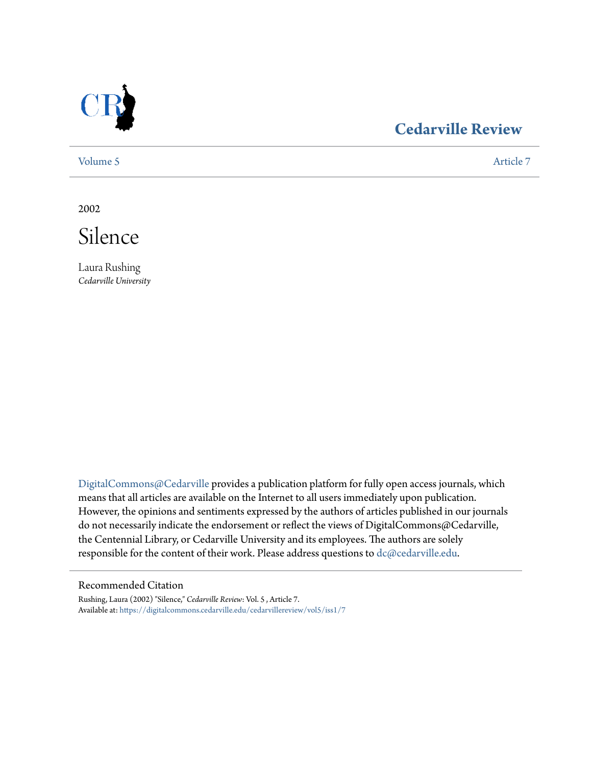

# **[Cedarville Review](https://digitalcommons.cedarville.edu/cedarvillereview?utm_source=digitalcommons.cedarville.edu%2Fcedarvillereview%2Fvol5%2Fiss1%2F7&utm_medium=PDF&utm_campaign=PDFCoverPages)**

[Volume 5](https://digitalcommons.cedarville.edu/cedarvillereview/vol5?utm_source=digitalcommons.cedarville.edu%2Fcedarvillereview%2Fvol5%2Fiss1%2F7&utm_medium=PDF&utm_campaign=PDFCoverPages) [Article 7](https://digitalcommons.cedarville.edu/cedarvillereview/vol5/iss1/7?utm_source=digitalcommons.cedarville.edu%2Fcedarvillereview%2Fvol5%2Fiss1%2F7&utm_medium=PDF&utm_campaign=PDFCoverPages)

2002



Laura Rushing *Cedarville University*

[DigitalCommons@Cedarville](http://digitalcommons.cedarville.edu) provides a publication platform for fully open access journals, which means that all articles are available on the Internet to all users immediately upon publication. However, the opinions and sentiments expressed by the authors of articles published in our journals do not necessarily indicate the endorsement or reflect the views of DigitalCommons@Cedarville, the Centennial Library, or Cedarville University and its employees. The authors are solely responsible for the content of their work. Please address questions to [dc@cedarville.edu](mailto:dc@cedarville.edu).

#### Recommended Citation

Rushing, Laura (2002) "Silence," *Cedarville Review*: Vol. 5 , Article 7. Available at: [https://digitalcommons.cedarville.edu/cedarvillereview/vol5/iss1/7](https://digitalcommons.cedarville.edu/cedarvillereview/vol5/iss1/7?utm_source=digitalcommons.cedarville.edu%2Fcedarvillereview%2Fvol5%2Fiss1%2F7&utm_medium=PDF&utm_campaign=PDFCoverPages)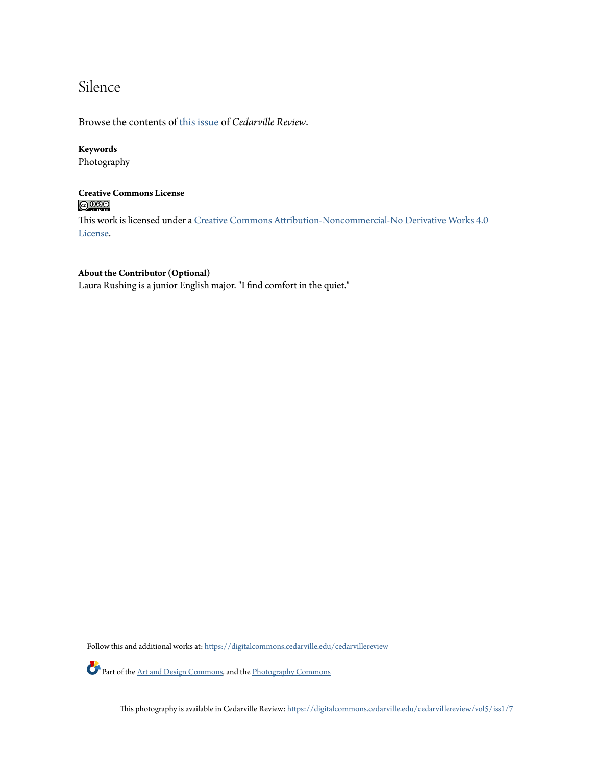# Silence

Browse the contents of [this issue](https://digitalcommons.cedarville.edu/cedarvillereview/vol5/iss1) of *Cedarville Review*.

## **Keywords**

Photography

### **Creative Commons License**  $\bigcirc$   $\circ$

This work is licensed under a [Creative Commons Attribution-Noncommercial-No Derivative Works 4.0](http://creativecommons.org/licenses/by-nc-nd/4.0/) [License.](http://creativecommons.org/licenses/by-nc-nd/4.0/)

### **About the Contributor (Optional)**

Laura Rushing is a junior English major. "I find comfort in the quiet."

Follow this and additional works at: [https://digitalcommons.cedarville.edu/cedarvillereview](https://digitalcommons.cedarville.edu/cedarvillereview?utm_source=digitalcommons.cedarville.edu%2Fcedarvillereview%2Fvol5%2Fiss1%2F7&utm_medium=PDF&utm_campaign=PDFCoverPages)

Part of the [Art and Design Commons,](http://network.bepress.com/hgg/discipline/1049?utm_source=digitalcommons.cedarville.edu%2Fcedarvillereview%2Fvol5%2Fiss1%2F7&utm_medium=PDF&utm_campaign=PDFCoverPages) and the [Photography Commons](http://network.bepress.com/hgg/discipline/1142?utm_source=digitalcommons.cedarville.edu%2Fcedarvillereview%2Fvol5%2Fiss1%2F7&utm_medium=PDF&utm_campaign=PDFCoverPages)